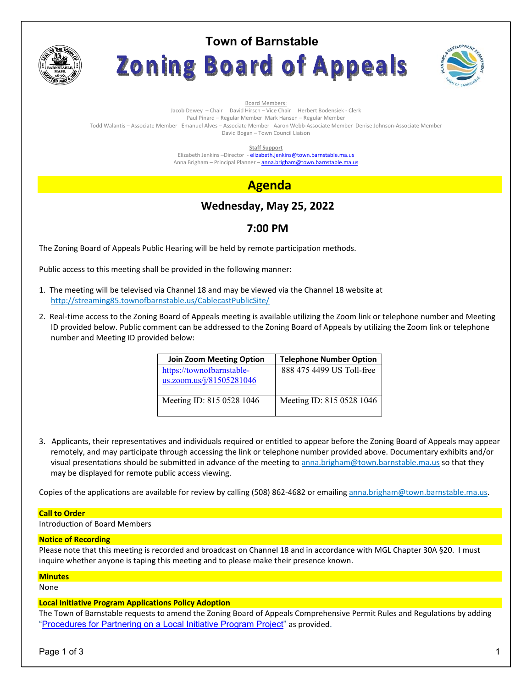

# **Town of Barnstable** Zoning Board of Appeals



Board Members: Jacob Dewey – Chair David Hirsch – Vice Chair Herbert Bodensiek - Clerk Paul Pinard – Regular Member Mark Hansen – Regular Member Todd Walantis – Associate Member Emanuel Alves – Associate Member Aaron Webb-Associate Member Denise Johnson-Associate Member David Bogan – Town Council Liaison

**Staff Support** 

Elizabeth Jenkins -Director - elizabeth.jenkins@town.barnstable.ma.us Anna Brigham – Principal Planner – **anna.brigham@town.barnstable.ma.us** 

## **Agenda**

## **Wednesday, May 25, 2022**

## **7:00 PM**

The Zoning Board of Appeals Public Hearing will be held by remote participation methods.

Public access to this meeting shall be provided in the following manner:

- 1. The meeting will be televised via Channel 18 and may be viewed via the Channel 18 website at http://streaming85.townofbarnstable.us/CablecastPublicSite/
- 2. Real-time access to the Zoning Board of Appeals meeting is available utilizing the Zoom link or telephone number and Meeting ID provided below. Public comment can be addressed to the Zoning Board of Appeals by utilizing the Zoom link or telephone number and Meeting ID provided below:

| <b>Join Zoom Meeting Option</b>                       | <b>Telephone Number Option</b> |
|-------------------------------------------------------|--------------------------------|
| https://townofbarnstable-<br>us.zoom.us/j/81505281046 | 888 475 4499 US Toll-free      |
| Meeting ID: 815 0528 1046                             | Meeting ID: 815 0528 1046      |

3. Applicants, their representatives and individuals required or entitled to appear before the Zoning Board of Appeals may appear remotely, and may participate through accessing the link or telephone number provided above. Documentary exhibits and/or visual presentations should be submitted in advance of the meeting to anna.brigham@town.barnstable.ma.us so that they may be displayed for remote public access viewing.

Copies of the applications are available for review by calling (508) 862-4682 or emailing anna.brigham@town.barnstable.ma.us.

## **Call to Order**

Introduction of Board Members

## **Notice of Recording**

Please note that this meeting is recorded and broadcast on Channel 18 and in accordance with MGL Chapter 30A §20. I must inquire whether anyone is taping this meeting and to please make their presence known.

## **Minutes**

None

## **Local Initiative Program Applications Policy Adoption**

The Town of Barnstable requests to amend the Zoning Board of Appeals Comprehensive Permit Rules and Regulations by adding "Procedures for Partnering on a Local Initiative Program Project" as provided.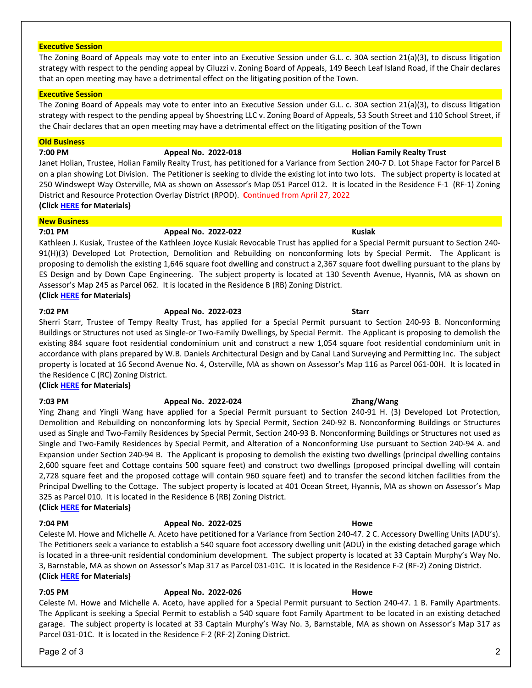### **Executive Session**

The Zoning Board of Appeals may vote to enter into an Executive Session under G.L. c. 30A section 21(a)(3), to discuss litigation strategy with respect to the pending appeal by Ciluzzi v. Zoning Board of Appeals, 149 Beech Leaf Island Road, if the Chair declares that an open meeting may have a detrimental effect on the litigating position of the Town.

### **Executive Session**

The Zoning Board of Appeals may vote to enter into an Executive Session under G.L. c. 30A section 21(a)(3), to discuss litigation strategy with respect to the pending appeal by Shoestring LLC v. Zoning Board of Appeals, 53 South Street and 110 School Street, if the Chair declares that an open meeting may have a detrimental effect on the litigating position of the Town

### **Old Business**

**7:00 PM Appeal No. 2022-018 Holian Family Realty Trust** 

Janet Holian, Trustee, Holian Family Realty Trust, has petitioned for a Variance from Section 240-7 D. Lot Shape Factor for Parcel B on a plan showing Lot Division. The Petitioner is seeking to divide the existing lot into two lots. The subject property is located at 250 Windswept Way Osterville, MA as shown on Assessor's Map 051 Parcel 012. It is located in the Residence F-1 (RF-1) Zoning District and Resource Protection Overlay District (RPOD). **C**ontinued from April 27, 2022 **(Click HERE for Materials)** 

### **New Business**

## **7:01 PM Appeal No. 2022-022 Kusiak**

Kathleen J. Kusiak, Trustee of the Kathleen Joyce Kusiak Revocable Trust has applied for a Special Permit pursuant to Section 240- 91(H)(3) Developed Lot Protection, Demolition and Rebuilding on nonconforming lots by Special Permit. The Applicant is proposing to demolish the existing 1,646 square foot dwelling and construct a 2,367 square foot dwelling pursuant to the plans by ES Design and by Down Cape Engineering. The subject property is located at 130 Seventh Avenue, Hyannis, MA as shown on Assessor's Map 245 as Parcel 062. It is located in the Residence B (RB) Zoning District. **(Click HERE for Materials)** 

**7:02 PM Appeal No. 2022-023 Starr** 

Sherri Starr, Trustee of Tempy Realty Trust, has applied for a Special Permit pursuant to Section 240-93 B. Nonconforming Buildings or Structures not used as Single-or Two-Family Dwellings, by Special Permit. The Applicant is proposing to demolish the existing 884 square foot residential condominium unit and construct a new 1,054 square foot residential condominium unit in accordance with plans prepared by W.B. Daniels Architectural Design and by Canal Land Surveying and Permitting Inc. The subject property is located at 16 Second Avenue No. 4, Osterville, MA as shown on Assessor's Map 116 as Parcel 061-00H. It is located in the Residence C (RC) Zoning District.

**(Click HERE for Materials)** 

**(Click HERE for Materials)** 

**(Click HERE for Materials)** 

## **7:03 PM Appeal No. 2022-024 Zhang/Wang**

325 as Parcel 010. It is located in the Residence B (RB) Zoning District.

## Ying Zhang and Yingli Wang have applied for a Special Permit pursuant to Section 240-91 H. (3) Developed Lot Protection,

### used as Single and Two-Family Residences by Special Permit, Section 240-93 B. Nonconforming Buildings or Structures not used as

Expansion under Section 240-94 B. The Applicant is proposing to demolish the existing two dwellings (principal dwelling contains 2,600 square feet and Cottage contains 500 square feet) and construct two dwellings (proposed principal dwelling will contain 2,728 square feet and the proposed cottage will contain 960 square feet) and to transfer the second kitchen facilities from the

Principal Dwelling to the Cottage. The subject property is located at 401 Ocean Street, Hyannis, MA as shown on Assessor's Map

The Petitioners seek a variance to establish a 540 square foot accessory dwelling unit (ADU) in the existing detached garage which is located in a three-unit residential condominium development. The subject property is located at 33 Captain Murphy's Way No.

Single and Two-Family Residences by Special Permit, and Alteration of a Nonconforming Use pursuant to Section 240-94 A. and

## **7:04 PM Appeal No. 2022-025 Howe**

## Celeste M. Howe and Michelle A. Aceto have petitioned for a Variance from Section 240-47. 2 C. Accessory Dwelling Units (ADU's).

## 3, Barnstable, MA as shown on Assessor's Map 317 as Parcel 031-01C. It is located in the Residence F-2 (RF-2) Zoning District.

## **7:05 PM Appeal No. 2022-026 Howe**

Celeste M. Howe and Michelle A. Aceto, have applied for a Special Permit pursuant to Section 240-47. 1 B. Family Apartments. The Applicant is seeking a Special Permit to establish a 540 square foot Family Apartment to be located in an existing detached garage. The subject property is located at 33 Captain Murphy's Way No. 3, Barnstable, MA as shown on Assessor's Map 317 as Parcel 031-01C. It is located in the Residence F-2 (RF-2) Zoning District.

## Page 2 of 3 2

## Demolition and Rebuilding on nonconforming lots by Special Permit, Section 240-92 B. Nonconforming Buildings or Structures